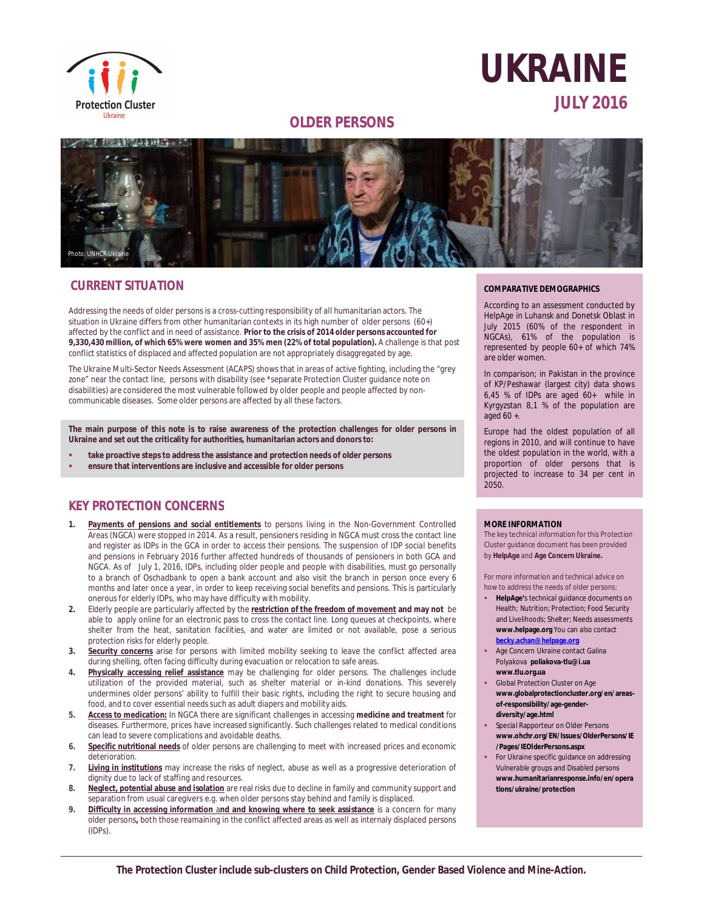

# **UKRAINE JULY 2016**

# **OLDER PERSONS**



# **CURRENT SITUATION**

Addressing the needs of older persons is a cross-cutting responsibility of all humanitarian actors. The situation in Ukraine differs from other humanitarian contexts in its high number of older persons (60+) affected by the conflict and in need of assistance. **Prior to the crisis of 2014 older persons accounted for 9,330,430 million, of which 65% were women and 35% men (22% of total population).** A challenge is that post conflict statistics of displaced and affected population are not appropriately disaggregated by age.

The Ukraine Multi-Sector Needs Assessment (ACAPS) shows that in areas of active fighting, including the "grey zone" near the contact line, persons with disability (see \*separate Protection Cluster guidance note on disabilities) are considered the most vulnerable followed by older people and people affected by noncommunicable diseases. Some older persons are affected by all these factors.

**The main purpose of this note is to raise awareness of the protection challenges for older persons in Ukraine and set out the criticality for authorities, humanitarian actors and donors to:**

- **take proactive steps to address the assistance and protection needs of older persons**
- **ensure that interventions are inclusive and accessible for older persons**

# **KEY PROTECTION CONCERNS**

- **1. Payments of pensions and social entitlements** to persons living in the Non-Government Controlled Areas (NGCA) were stopped in 2014. As a result, pensioners residing in NGCA must cross the contact line and register as IDPs in the GCA in order to access their pensions. The suspension of IDP social benefits and pensions in February 2016 further affected hundreds of thousands of pensioners in both GCA and NGCA. As of July 1, 2016, IDPs, including older people and people with disabilities, must go personally to a branch of Oschadbank to open a bank account and also visit the branch in person once every 6 months and later once a year, in order to keep receiving social benefits and pensions. This is particularly onerous for elderly IDPs, who may have difficulty with mobility.
- **2.** Elderly people are particularly affected by the **restriction of the freedom of movement and may not** be able to apply online for an electronic pass to cross the contact line. Long queues at checkpoints, where shelter from the heat, sanitation facilities, and water are limited or not available, pose a serious protection risks for elderly people.
- **3. Security concerns** arise for persons with limited mobility seeking to leave the conflict affected area during shelling, often facing difficulty during evacuation or relocation to safe areas.
- **4. Physically accessing relief assistance** may be challenging for older persons. The challenges include utilization of the provided material, such as shelter material or in-kind donations. This severely undermines older persons' ability to fulfill their basic rights, including the right to secure housing and food, and to cover essential needs such as adult diapers and mobility aids.
- **5. Access to medication:** In NGCA there are significant challenges in accessing **medicine and treatment** for diseases. Furthermore, prices have increased significantly. Such challenges related to medical conditions can lead to severe complications and avoidable deaths.
- **6. Specific nutritional needs** of older persons are challenging to meet with increased prices and economic deterioration.
- **7. Living in institutions** may increase the risks of neglect, abuse as well as a progressive deterioration of dignity due to lack of staffing and resources.
- **8. Neglect, potential abuse and isolation** are real risks due to decline in family and community support and separation from usual caregivers e.g. when older persons stay behind and family is displaced.
- **9. Difficulty in accessing information** a**nd and knowing where to seek assistance** is a concern for many older persons**,** both those reamaining in the conflict affected areas as well as internaly displaced persons (IDPs).

#### **COMPARATIVE DEMOGRAPHICS**

According to an assessment conducted by HelpAge in Luhansk and Donetsk Oblast in July 2015 (60% of the respondent in NGCAs), 61% of the population is represented by people 60+ of which 74% are older women.

In comparison; in Pakistan in the province of KP/Peshawar (largest city) data shows 6,45 % of IDPs are aged 60+ while in Kyrgyzstan 8,1 % of the population are aged 60 +.

Europe had the oldest population of all regions in 2010, and will continue to have the oldest population in the world, with a proportion of older persons that is projected to increase to 34 per cent in 2050.

#### **MORE INFORMATION**

The key technical information for this Protection Cluster guidance document has been provided by **HelpAge** and **Age Concern Ukraine.**

For more information and technical advice on how to address the needs of older persons;

- **HelpAge'**s technical guidance documents on Health; Nutrition; Protection; Food Security and Livelihoods; Shelter; Needs assessments **[www.helpage.org](http://www.helpage.org)** You can also contact **[becky.achan@helpage.org](mailto:becky.achan@helpage.org)**
- Age Concern Ukraine contact Galina Polyakova **[poliakova-tlu@i.ua](mailto:poliakova-tlu@i.ua) [www.tlu.org.ua](http://www.tlu.org.ua)**
- Global Protection Cluster on Age **[www.globalprotectioncluster.org/en/areas](http://www.globalprotectioncluster.org/en/areas-)of-responsibility/age-genderdiversity/age.html**
- Special Rapporteur on Older Persons **[www.ohchr.org/EN/Issues/OlderPersons/IE](http://www.ohchr.org/EN/Issues/OlderPersons/IE) /Pages/IEOlderPersons.aspx**
- For Ukraine specific guidance on addressing Vulnerable groups and Disabled persons **[www.humanitarianresponse.info/en/opera](http://www.humanitarianresponse.info/en/opera) tions/ukraine/protection**